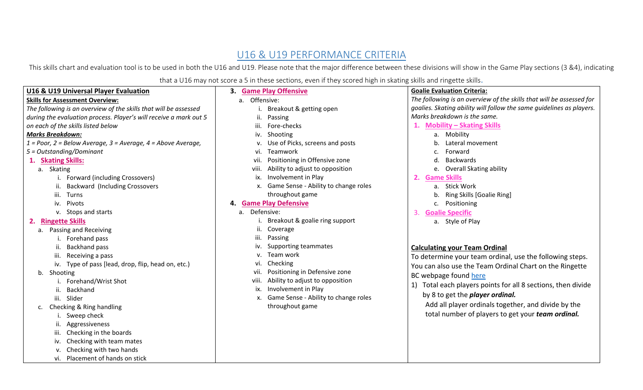## U16 & U19 PERFORMANCE CRITERIA

This skills chart and evaluation tool is to be used in both the U16 and U19. Please note that the major difference between these divisions will show in the Game Play sections (3 &4), indicating

that a U16 may not score a 5 in these sections, even if they scored high in skating skills and ringette skills.

| <b>U16 &amp; U19 Universal Player Evaluation</b>                         | that a OID may not score a 5 in these sections, even in they scored high in skating skins and migette skins.<br>3. Game Play Offensive | <b>Goalie Evaluation Criteria:</b>                                   |
|--------------------------------------------------------------------------|----------------------------------------------------------------------------------------------------------------------------------------|----------------------------------------------------------------------|
| <b>Skills for Assessment Overview:</b>                                   | a. Offensive:                                                                                                                          | The following is an overview of the skills that will be assessed for |
| The following is an overview of the skills that will be assessed         | Breakout & getting open                                                                                                                | goalies. Skating ability will follow the same guidelines as players. |
| during the evaluation process. Player's will receive a mark out 5        | ii.<br>Passing                                                                                                                         | Marks breakdown is the same.                                         |
| on each of the skills listed below                                       | iii.<br>Fore-checks                                                                                                                    | 1. Mobility - Skating Skills                                         |
| <b>Marks Breakdown:</b>                                                  | iv. Shooting                                                                                                                           | a. Mobility                                                          |
| $1 = Poor$ , $2 = Below Average$ , $3 = Average$ , $4 = Above Average$ , | Use of Picks, screens and posts                                                                                                        | Lateral movement                                                     |
| 5 = Outstanding/Dominant                                                 | Teamwork<br>VI.                                                                                                                        | Forward<br>c.                                                        |
| <b>Skating Skills:</b><br>1.                                             | Positioning in Offensive zone<br>vii.                                                                                                  | Backwards<br>d.                                                      |
| a. Skating                                                               | Ability to adjust to opposition<br>viii.                                                                                               | e. Overall Skating ability                                           |
| i. Forward (including Crossovers)                                        | Involvement in Play<br>ix.                                                                                                             | <b>Game Skills</b>                                                   |
| <b>Backward (Including Crossovers</b><br>ii.                             | x. Game Sense - Ability to change roles                                                                                                | a. Stick Work                                                        |
| Turns<br>iii.                                                            | throughout game                                                                                                                        | b. Ring Skills [Goalie Ring]                                         |
| iv. Pivots                                                               | <b>Game Play Defensive</b><br>4.                                                                                                       | c. Positioning                                                       |
| v. Stops and starts                                                      | Defensive:<br>a.                                                                                                                       | <b>Goalie Specific</b><br>3.                                         |
| <b>Ringette Skills</b><br>2.                                             | Breakout & goalie ring support                                                                                                         | a. Style of Play                                                     |
| Passing and Receiving<br>а.                                              | Coverage<br>ii.                                                                                                                        |                                                                      |
| Forehand pass                                                            | Passing<br>ш.                                                                                                                          |                                                                      |
| <b>Backhand pass</b>                                                     | Supporting teammates<br>iv.                                                                                                            | <b>Calculating your Team Ordinal</b>                                 |
| Receiving a pass<br>iii.                                                 | Team work                                                                                                                              | To determine your team ordinal, use the following steps.             |
| iv. Type of pass [lead, drop, flip, head on, etc.)                       | Checking                                                                                                                               | You can also use the Team Ordinal Chart on the Ringette              |
| Shooting<br>b.                                                           | Positioning in Defensive zone<br>vii.                                                                                                  | BC webpage found here                                                |
| Forehand/Wrist Shot                                                      | Ability to adjust to opposition<br>viii.                                                                                               | 1) Total each players points for all 8 sections, then divide         |
| Backhand                                                                 | Involvement in Play<br>ix.                                                                                                             | by 8 to get the <i>player ordinal</i> .                              |
| iii. Slider                                                              | x. Game Sense - Ability to change roles                                                                                                | Add all player ordinals together, and divide by the                  |
| Checking & Ring handling<br>c.                                           | throughout game                                                                                                                        |                                                                      |
| Sweep check                                                              |                                                                                                                                        | total number of players to get your team ordinal.                    |
| Aggressiveness                                                           |                                                                                                                                        |                                                                      |
| Checking in the boards<br>iii.                                           |                                                                                                                                        |                                                                      |
| Checking with team mates<br>iv.                                          |                                                                                                                                        |                                                                      |
| Checking with two hands                                                  |                                                                                                                                        |                                                                      |
| vi. Placement of hands on stick                                          |                                                                                                                                        |                                                                      |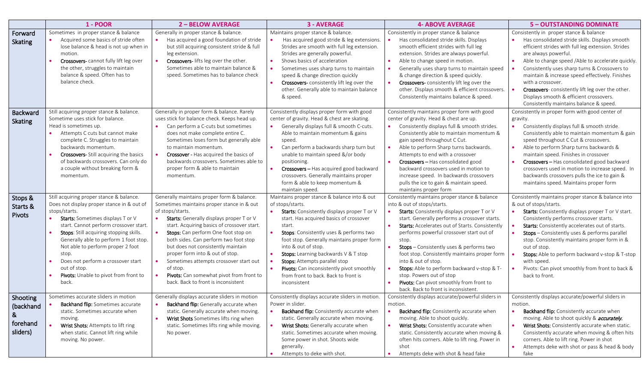|                                                    | $1 - POOR$                                                                                                                                                                                                                                                                                                                                                                                                                        | <b>2-BELOW AVERAGE</b>                                                                                                                                                                                                                                                                                                                                                                                                                                                                                    | <b>3 - AVERAGE</b>                                                                                                                                                                                                                                                                                                                                                                                                                                                 | <b>4- ABOVE AVERAGE</b>                                                                                                                                                                                                                                                                                                                                                                                                                                                                                                                                                         | <b>5 - OUTSTANDING DOMINATE</b>                                                                                                                                                                                                                                                                                                                                                                                                                                                                   |
|----------------------------------------------------|-----------------------------------------------------------------------------------------------------------------------------------------------------------------------------------------------------------------------------------------------------------------------------------------------------------------------------------------------------------------------------------------------------------------------------------|-----------------------------------------------------------------------------------------------------------------------------------------------------------------------------------------------------------------------------------------------------------------------------------------------------------------------------------------------------------------------------------------------------------------------------------------------------------------------------------------------------------|--------------------------------------------------------------------------------------------------------------------------------------------------------------------------------------------------------------------------------------------------------------------------------------------------------------------------------------------------------------------------------------------------------------------------------------------------------------------|---------------------------------------------------------------------------------------------------------------------------------------------------------------------------------------------------------------------------------------------------------------------------------------------------------------------------------------------------------------------------------------------------------------------------------------------------------------------------------------------------------------------------------------------------------------------------------|---------------------------------------------------------------------------------------------------------------------------------------------------------------------------------------------------------------------------------------------------------------------------------------------------------------------------------------------------------------------------------------------------------------------------------------------------------------------------------------------------|
| Forward<br><b>Skating</b>                          | Sometimes in proper stance & balance<br>Acquired some basics of stride often<br>lose balance & head is not up when in<br>motion.<br>Crossovers-cannot fully lift leg over<br>the other, struggles to maintain<br>balance & speed. Often has to<br>balance check.                                                                                                                                                                  | Generally in proper stance & balance.<br>Has acquired a good foundation of stride<br>but still acquiring consistent stride & full<br>leg extension.<br>Crossovers-lifts leg over the other.<br>Sometimes able to maintain balance &<br>speed. Sometimes has to balance check                                                                                                                                                                                                                              | Maintains proper stance & balance.<br>Has acquired good stride & leg extensions.<br>Strides are smooth with full leg extension.<br>Strides are generally powerful.<br>Shows basics of acceleration<br>Sometimes uses sharp turns to maintain<br>speed & change direction quickly<br>Crossovers-consistently lift leg over the<br>other. Generally able to maintain balance<br>& speed.                                                                             | Consistently in proper stance & balance<br>Has consolidated stride skills. Displays<br>smooth efficient strides with full leg<br>extension. Strides are always powerful.<br>Able to change speed in motion.<br>Generally uses sharp turns to maintain speed<br>& change direction & speed quickly.<br>Crossovers-consistently lift leg over the<br>other. Displays smooth & efficient crossovers.<br>Consistently maintains balance & speed.                                                                                                                                    | Consistently in proper stance & balance<br>Has consolidated stride skills. Displays smooth<br>efficient strides with full leg extension. Strides<br>are always powerful.<br>Able to change speed /Able to accelerate quickly.<br>Consistently uses sharp turns & Crossovers to<br>maintain & increase speed effectively. Finishes<br>with a crossover.<br>Crossovers-consistently lift leg over the other.<br>Displays smooth & efficient crossovers.<br>Consistently maintains balance & speed.  |
| <b>Backward</b><br><b>Skating</b>                  | Still acquiring proper stance & balance.<br>Sometime uses stick for balance.<br>Head is sometimes up.<br>Attempts C cuts but cannot make<br>complete C. Struggles to maintain<br>backwards momentum.<br><b>Crossovers-</b> Still acquiring the basics<br>of backwards crossovers. Can only do<br>a couple without breaking form &<br>momentum.                                                                                    | Generally in proper form & balance. Rarely<br>uses stick for balance check. Keeps head up.<br>Can perform a C-cuts but sometimes<br>does not make complete entire C.<br>Sometimes loses form but generally able<br>to maintain momentum.<br>Crossover - Has acquired the basics of<br>backwards crossovers. Sometimes able to<br>proper form & able to maintain<br>momentum.                                                                                                                              | Consistently displays proper form with good<br>center of gravity. Head & chest are skating.<br>Generally displays full & smooth C-cuts.<br>Able to maintain momentum & gains<br>speed.<br>Can perform a backwards sharp turn but<br>unable to maintain speed &/or body<br>positioning.<br>Crossovers - Has acquired good backward<br>crossovers. Generally maintains proper<br>form & able to keep momentum &<br>maintain speed.                                   | Consistently maintains proper form with good<br>center of gravity. Head & chest are up.<br>Consistently displays full & smooth strides.<br>Consistently able to maintain momentum &<br>gain speed throughout C Cut.<br>Able to perform Sharp turns backwards.<br>Attempts to end with a crossover<br>Crossovers - Has consolidated good<br>backward crossovers used in motion to<br>increase speed. In backwards crossovers<br>pulls the ice to gain & maintain speed.<br>maintains proper form                                                                                 | Consistently in proper form with good center of<br>gravity.<br>Consistently displays full & smooth stride.<br>Consistently able to maintain momentum & gain<br>speed throughout C Cut & crossovers.<br>Able to perform Sharp turns backwards &<br>maintain speed. Finishes in crossover<br>Crossovers - Has consolidated good backward<br>crossovers used in motion to increase speed. In<br>backwards crossovers pulls the ice to gain &<br>maintains speed. Maintains proper form               |
| Stops &<br>Starts &<br>Pivots                      | Still acquiring proper stance & balance.<br>Does not display proper stance in & out of<br>stops/starts.<br>Starts: Sometimes displays T or V<br>start. Cannot perform crossover start.<br>Stops: Still acquiring stopping skills.<br>Generally able to perform 1 foot stop.<br>Not able to perform proper 2 foot<br>stop.<br>Does not perform a crossover start<br>out of stop.<br>Pivots: Unable to pivot from front to<br>back. | Generally maintains proper form & balance.<br>Sometimes maintains proper stance in & out<br>of stops/starts.<br>Starts: Generally displays proper T or V<br>start. Acquiring basics of crossover start.<br>Stops: Can perform One foot stop on<br>both sides. Can perform two foot stop<br>but does not consistently maintain<br>proper form into & out of stop.<br>Sometimes attempts crossover start out<br>of stop.<br>Pivots: Can somewhat pivot from front to<br>back. Back to front is inconsistent | Maintains proper stance & balance into & out<br>of stops/starts.<br>Starts: Consistently displays proper T or V<br>start. Has acquired basics of crossover<br>start.<br>Stops: Consistently uses & performs two<br>foot stop. Generally maintains proper form<br>into & out of stop.<br>Stops: Learning backwards V & T stop<br>Stops: Attempts parallel stop<br>Pivots: Can inconsistently pivot smoothly<br>from front to back. Back to front is<br>inconsistent | Consistently maintains proper stance & balance<br>into & out of stops/starts.<br>Starts: Consistently displays proper T or V<br>start. Generally performs a crossover starts.<br><b>Starts:</b> Accelerates out of Starts. Consistently<br>performs powerful crossover start out of<br>stop.<br>Stops - Consistently uses & performs two<br>foot stop. Consistently maintains proper form<br>into & out of stop.<br>Stops: Able to perform backward v-stop & T-<br>stop. Powers out of stop<br>Pivots: Can pivot smoothly from front to<br>back. Back to front is inconsistent. | Consistently maintains proper stance & balance into<br>& out of stops/starts.<br>Starts: Consistently displays proper T or V start.<br>Consistently performs crossover starts.<br>Starts: Consistently accelerates out of starts.<br><b>Stops</b> - Consistently uses & performs parallel<br>stop. Consistently maintains proper form in &<br>out of stop.<br>Stops: Able to perform backward v-stop & T-stop<br>with speed.<br>Pivots: Can pivot smoothly from front to back &<br>back to front. |
| Shooting<br>(backhand<br>&<br>forehand<br>sliders) | Sometimes accurate sliders in motion<br>Backhand flip: Sometimes accurate<br>static. Sometimes accurate when<br>moving.<br>Wrist Shots: Attempts to lift ring<br>when static. Cannot lift ring while<br>moving. No power.                                                                                                                                                                                                         | Generally displays accurate sliders in motion<br>Backhand flip: Generally accurate when<br>static. Generally accurate when moving.<br>Wrist Shots Sometimes lifts ring when<br>static. Sometimes lifts ring while moving.<br>No power.                                                                                                                                                                                                                                                                    | Consistently displays accurate sliders in motion<br>Power in slider.<br><b>Backhand flip:</b> Consistently accurate when<br>static. Generally accurate when moving.<br>Wrist Shots: Generally accurate when<br>static. Sometimes accurate when moving.<br>Some power in shot. Shoots wide<br>generally.<br>Attempts to deke with shot.                                                                                                                             | Consistently displays accurate/powerful sliders in<br>motion.<br><b>Backhand flip:</b> Consistently accurate when<br>moving. Able to shoot quickly.<br>Wrist Shots: Consistently accurate when<br>static. Consistently accurate when moving &<br>often hits corners. Able to lift ring. Power in<br>shot<br>Attempts deke with shot & head fake                                                                                                                                                                                                                                 | Consistently displays accurate/powerful sliders in<br>motion.<br><b>Backhand flip:</b> Consistently accurate when<br>moving. Able to shoot quickly & accurately.<br>Wrist Shots: Consistently accurate when static.<br>Consistently accurate when moving & often hits<br>corners. Able to lift ring. Power in shot<br>Attempts deke with shot or pass & head & body<br>$\bullet$<br>fake                                                                                                          |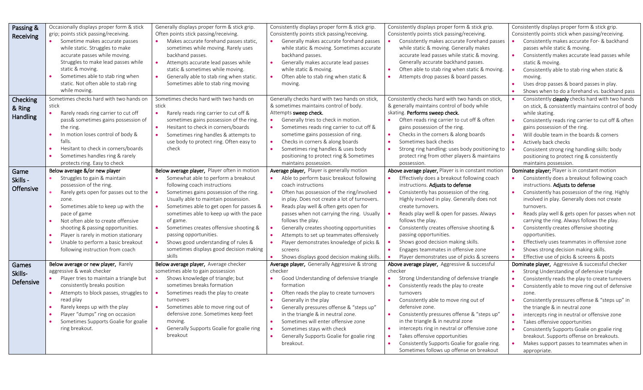| Passing & | Occasionally displays proper form & stick          | Generally displays proper form & stick grip.                                   | Consistently displays proper form & stick grip.                                              | Consistently displays proper form & stick grip.                | Consistently displays proper form & stick grip.                                              |
|-----------|----------------------------------------------------|--------------------------------------------------------------------------------|----------------------------------------------------------------------------------------------|----------------------------------------------------------------|----------------------------------------------------------------------------------------------|
|           | grip; points stick passing/receiving.              | Often points stick passing/receiving.                                          | Consistently points stick passing/receiving.                                                 | Consistently points stick passing/receiving.                   | Consistently points stick when passing/receiving.                                            |
| Receiving | Sometime makes accurate passes                     | Makes accurate forehand passes static,<br>$\bullet$                            | Generally makes accurate forehand passes                                                     | Consistently makes accurate Forehand passes                    | Consistently makes accurate For- & backhand                                                  |
|           | while static. Struggles to make                    | sometimes while moving. Rarely uses                                            | while static & moving. Sometimes accurate                                                    | while static & moving. Generally makes                         | passes while static & moving.                                                                |
|           | accurate passes while moving.                      | backhand passes.                                                               | backhand passes.                                                                             | accurate lead passes while static & moving.                    | Consistently makes accurate lead passes while                                                |
|           | Struggles to make lead passes while                | Attempts accurate lead passes while                                            | Generally makes accurate lead passes                                                         | Generally accurate backhand passes.                            | static & moving.                                                                             |
|           | static & moving.                                   | static & sometimes while moving.                                               | while static & moving.                                                                       | Often able to stab ring when static & moving.                  | Consistently able to stab ring when static &                                                 |
|           | Sometimes able to stab ring when                   | Generally able to stab ring when static.                                       | Often able to stab ring when static &                                                        | Attempts drop passes & board passes.                           | moving.                                                                                      |
|           | static. Not often able to stab ring                | Sometimes able to stab ring moving                                             | moving.                                                                                      |                                                                | Uses drop passes & board passes in play.                                                     |
|           | while moving.                                      |                                                                                |                                                                                              |                                                                | Shows when to do a forehand vs. backhand pass                                                |
| Checking  | Sometimes checks hard with two hands on            | Sometimes checks hard with two hands on                                        | Generally checks hard with two hands on stick,                                               | Consistently checks hard with two hands on stick,              | Consistently cleanly checks hard with two hands                                              |
|           | stick                                              | stick                                                                          | & sometimes maintains control of body.                                                       | & generally maintains control of body while                    | on stick, & consistently maintains control of body                                           |
| & Ring    | $\bullet$<br>Rarely reads ring carrier to cut off  | Rarely reads ring carrier to cut off &<br>$\bullet$                            | Attempts sweep check.                                                                        | skating. Performs sweep check.                                 | while skating.                                                                               |
| Handling  | pass& sometimes gains possession of                | sometimes gains possession of the ring.                                        | $\bullet$<br>Generally tries to check in motion.                                             | Often reads ring carrier to cut off & often                    | Consistently reads ring carrier to cut off & often                                           |
|           | the ring.                                          | Hesitant to check in corners/boards<br>$\bullet$                               | $\bullet$<br>Sometimes reads ring carrier to cut off &                                       | gains possession of the ring.                                  | gains possession of the ring.                                                                |
|           | In motion loses control of body &                  | Sometimes ring handles & attempts to                                           | sometime gains possession of ring.                                                           | Checks in the corners & along boards                           | Will double team in the boards & corners                                                     |
|           | falls.                                             | use body to protect ring. Often easy to                                        | Checks in corners & along boards                                                             | Sometimes back checks                                          | Actively back checks                                                                         |
|           | Hesitant to check in corners/boards                | check                                                                          | Sometimes ring handles & uses body                                                           | Strong ring handling: uses body positioning to                 | Consistent strong ring handling skills: body                                                 |
|           | Sometimes handles ring & rarely                    |                                                                                | positioning to protect ring & Sometimes                                                      | protect ring from other players & maintains                    | positioning to protect ring & consistently                                                   |
|           | protects ring. Easy to check                       |                                                                                | maintains possession.                                                                        | possession.                                                    | maintains possession.                                                                        |
|           | Below average &/or new player                      | Below average player, Player often in motion                                   | Average player, Player is generally motion                                                   | Above average player, Player is in constant motion             | Dominate player; Player is in constant motion                                                |
| Game      | Struggles to gain & maintain                       | Somewhat able to perform a breakout                                            | Able to perform basic breakout following                                                     | Effectively does a breakout following coach                    | Consistently does a breakout following coach                                                 |
| Skills -  | possession of the ring.                            | following coach instructions                                                   | coach instructions                                                                           | instructions. Adjusts to defense                               | instructions. Adjusts to defense                                                             |
| Offensive | Rarely gets open for passes out to the             | Sometimes gains possession of the ring.                                        | Often has possession of the ring/involved                                                    | Consistently has possession of the ring.                       | Consistently has possession of the ring. Highly                                              |
|           |                                                    | Usually able to maintain possession.                                           | in play. Does not create a lot of turnovers.                                                 | Highly involved in play. Generally does not                    | involved in play. Generally does not create                                                  |
|           | zone.<br>Sometimes able to keep up with the        | Sometimes able to get open for passes &                                        | Reads play well & often gets open for                                                        | create turnovers.                                              | turnovers.                                                                                   |
|           | pace of game                                       |                                                                                |                                                                                              |                                                                | Reads play well & gets open for passes when not                                              |
|           |                                                    | sometimes able to keep up with the pace                                        | passes when not carrying the ring. Usually<br>follows the play.                              | Reads play well & open for passes. Always<br>follows the play. | carrying the ring. Always follows the play.                                                  |
|           | Not often able to create offensive                 | of game.                                                                       |                                                                                              |                                                                |                                                                                              |
|           | shooting & passing opportunities.                  | Sometimes creates offensive shooting &                                         | Generally creates shooting opportunities                                                     | Consistently creates offensive shooting &                      | Consistently creates offensive shooting                                                      |
|           | Player is rarely in motion stationary<br>$\bullet$ | passing opportunities.                                                         | Attempts to set up teammates offensively                                                     | passing opportunities.                                         | opportunities.<br>Effectively uses teammates in offensive zone                               |
|           | Unable to perform a basic breakout                 | Shows good understanding of rules &<br>sometimes displays good decision making | Player demonstrates knowledge of picks &                                                     | Shows good decision making skills.                             | Shows strong decision making skills.                                                         |
|           | following instruction from coach                   | skills                                                                         | screens                                                                                      | Engages teammates in offensive zone                            |                                                                                              |
|           | Below average or new player, Rarely                | Below average player, Average checker                                          | Shows displays good decision making skills.<br>Average player, Generally Aggressive & strong | Player demonstrates use of picks & screens                     | Effective use of picks & screens & posts<br>Dominate player, Aggressive & successful checker |
| Games     | aggressive & weak checker                          | sometimes able to gain possession                                              | checker                                                                                      | Above average player, Aggressive & successful<br>checker       | Strong Understanding of defensive triangle                                                   |
| Skills-   | Player tries to maintain a triangle but            | Shows knowledge of triangle; but                                               | $\bullet$<br>Good Understanding of defensive triangle                                        | Strong Understanding of defensive triangle                     | Consistently reads the play to create turnovers                                              |
| Defensive | consistently breaks position                       | sometimes breaks formation                                                     | formation                                                                                    | $\bullet$                                                      |                                                                                              |
|           | Attempts to block passes, struggles to             |                                                                                | $\bullet$                                                                                    | Consistently reads the play to create                          | Consistently able to move ring out of defensive                                              |
|           | read play                                          | Sometimes reads the play to create<br>turnovers                                | Often reads the play to create turnovers                                                     | turnovers                                                      | zone.                                                                                        |
|           |                                                    | $\bullet$                                                                      | Generally in the play                                                                        | Consistently able to move ring out of<br>defensive zone.       | Consistently pressures offense & "steps up" in                                               |
|           | Rarely keeps up with the play                      | Sometimes able to move ring out of                                             | Generally pressures offense & "steps up"                                                     |                                                                | the triangle & in neutral zone                                                               |
|           | Player "dumps" ring on occasion                    | defensive zone. Sometimes keep feet                                            | in the triangle & in neutral zone.                                                           | Consistently pressures offense & "steps up"                    | intercepts ring in neutral or offensive zone                                                 |
|           | Sometimes Supports Goalie for goalie               | moving.                                                                        | Sometimes will enter offensive zone                                                          | in the triangle & in neutral zone                              | Takes offensive opportunities                                                                |
|           | ring breakout.                                     | Generally Supports Goalie for goalie ring<br>breakout                          | Sometimes stays with check                                                                   | intercepts ring in neutral or offensive zone                   | Consistently Supports Goalie on goalie ring                                                  |
|           |                                                    |                                                                                | Generally Supports Goalie for goalie ring                                                    | Takes offensive opportunities                                  | breakout. Supports offense on breakouts.                                                     |
|           |                                                    |                                                                                | breakout.                                                                                    | Consistently Supports Goalie for goalie ring.                  | Makes support passes to teammates when in                                                    |
|           |                                                    |                                                                                |                                                                                              | Sometimes follows up offense on breakout                       | appropriate.                                                                                 |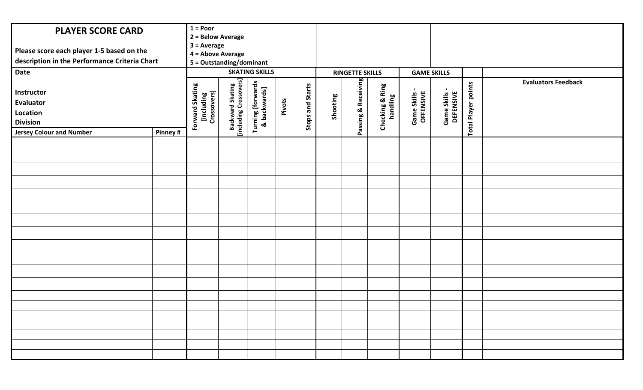| <b>PLAYER SCORE CARD</b><br>Please score each player 1-5 based on the<br>description in the Performance Criteria Chart<br><b>Date</b><br>Instructor<br>Evaluator<br>Location<br><b>Division</b> |         | $1 = Poor$<br>2 = Below Average<br>$3 = Average$<br>4 = Above Average<br>5 = Outstanding/dominant<br>Forward Skating<br>[including<br>Crossovers] | Backward Skating<br>[including Crossovers] | <b>SKATING SKILLS</b><br>Turning [forwards<br>& backwards] | Pivots | <b>Stops and Starts</b> | Shooting | <b>RINGETTE SKILLS</b><br>Passing & Receiving | Checking & Ring<br>handling | <b>GAME SKILLS</b><br>Game Skills -<br>OFFENSIVE | Game Skills -<br>DEFENSIVE | <b>Total Player points</b> | <b>Evaluators Feedback</b> |
|-------------------------------------------------------------------------------------------------------------------------------------------------------------------------------------------------|---------|---------------------------------------------------------------------------------------------------------------------------------------------------|--------------------------------------------|------------------------------------------------------------|--------|-------------------------|----------|-----------------------------------------------|-----------------------------|--------------------------------------------------|----------------------------|----------------------------|----------------------------|
| <b>Jersey Colour and Number</b>                                                                                                                                                                 | Pinney# |                                                                                                                                                   |                                            |                                                            |        |                         |          |                                               |                             |                                                  |                            |                            |                            |
|                                                                                                                                                                                                 |         |                                                                                                                                                   |                                            |                                                            |        |                         |          |                                               |                             |                                                  |                            |                            |                            |
|                                                                                                                                                                                                 |         |                                                                                                                                                   |                                            |                                                            |        |                         |          |                                               |                             |                                                  |                            |                            |                            |
|                                                                                                                                                                                                 |         |                                                                                                                                                   |                                            |                                                            |        |                         |          |                                               |                             |                                                  |                            |                            |                            |
|                                                                                                                                                                                                 |         |                                                                                                                                                   |                                            |                                                            |        |                         |          |                                               |                             |                                                  |                            |                            |                            |
|                                                                                                                                                                                                 |         |                                                                                                                                                   |                                            |                                                            |        |                         |          |                                               |                             |                                                  |                            |                            |                            |
|                                                                                                                                                                                                 |         |                                                                                                                                                   |                                            |                                                            |        |                         |          |                                               |                             |                                                  |                            |                            |                            |
|                                                                                                                                                                                                 |         |                                                                                                                                                   |                                            |                                                            |        |                         |          |                                               |                             |                                                  |                            |                            |                            |
|                                                                                                                                                                                                 |         |                                                                                                                                                   |                                            |                                                            |        |                         |          |                                               |                             |                                                  |                            |                            |                            |
|                                                                                                                                                                                                 |         |                                                                                                                                                   |                                            |                                                            |        |                         |          |                                               |                             |                                                  |                            |                            |                            |
|                                                                                                                                                                                                 |         |                                                                                                                                                   |                                            |                                                            |        |                         |          |                                               |                             |                                                  |                            |                            |                            |
|                                                                                                                                                                                                 |         |                                                                                                                                                   |                                            |                                                            |        |                         |          |                                               |                             |                                                  |                            |                            |                            |
|                                                                                                                                                                                                 |         |                                                                                                                                                   |                                            |                                                            |        |                         |          |                                               |                             |                                                  |                            |                            |                            |
|                                                                                                                                                                                                 |         |                                                                                                                                                   |                                            |                                                            |        |                         |          |                                               |                             |                                                  |                            |                            |                            |
|                                                                                                                                                                                                 |         |                                                                                                                                                   |                                            |                                                            |        |                         |          |                                               |                             |                                                  |                            |                            |                            |
|                                                                                                                                                                                                 |         |                                                                                                                                                   |                                            |                                                            |        |                         |          |                                               |                             |                                                  |                            |                            |                            |
|                                                                                                                                                                                                 |         |                                                                                                                                                   |                                            |                                                            |        |                         |          |                                               |                             |                                                  |                            |                            |                            |
|                                                                                                                                                                                                 |         |                                                                                                                                                   |                                            |                                                            |        |                         |          |                                               |                             |                                                  |                            |                            |                            |
|                                                                                                                                                                                                 |         |                                                                                                                                                   |                                            |                                                            |        |                         |          |                                               |                             |                                                  |                            |                            |                            |
|                                                                                                                                                                                                 |         |                                                                                                                                                   |                                            |                                                            |        |                         |          |                                               |                             |                                                  |                            |                            |                            |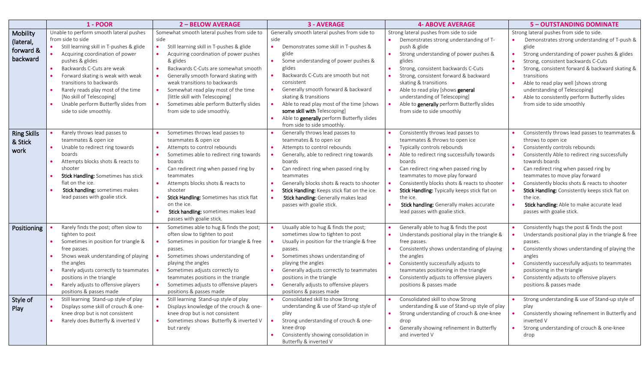|                                                | <b>1 - POOR</b>                                                                                                                                                                                                                                                                                                                                                                                   | <b>2-BELOW AVERAGE</b>                                                                                                                                                                                                                                                                                                                                                                                                      | <b>3 - AVERAGE</b>                                                                                                                                                                                                                                                                                                                                                                                                                                                             | <b>4- ABOVE AVERAGE</b>                                                                                                                                                                                                                                                                                                                                                                                                            | 5 - OUTSTANDING DOMINATE                                                                                                                                                                                                                                                                                                                                                                                                                                        |
|------------------------------------------------|---------------------------------------------------------------------------------------------------------------------------------------------------------------------------------------------------------------------------------------------------------------------------------------------------------------------------------------------------------------------------------------------------|-----------------------------------------------------------------------------------------------------------------------------------------------------------------------------------------------------------------------------------------------------------------------------------------------------------------------------------------------------------------------------------------------------------------------------|--------------------------------------------------------------------------------------------------------------------------------------------------------------------------------------------------------------------------------------------------------------------------------------------------------------------------------------------------------------------------------------------------------------------------------------------------------------------------------|------------------------------------------------------------------------------------------------------------------------------------------------------------------------------------------------------------------------------------------------------------------------------------------------------------------------------------------------------------------------------------------------------------------------------------|-----------------------------------------------------------------------------------------------------------------------------------------------------------------------------------------------------------------------------------------------------------------------------------------------------------------------------------------------------------------------------------------------------------------------------------------------------------------|
| Mobility<br>(lateral,<br>forward &<br>backward | Unable to perform smooth lateral pushes<br>from side to side<br>Still learning skill in T-pushes & glide<br>Acquiring coordination of power<br>pushes & glides<br>Backwards C-Cuts are weak<br>Forward skating is weak with weak<br>transitions to backwards<br>Rarely reads play most of the time<br>[No skill of Telescoping]<br>Unable perform Butterfly slides from<br>side to side smoothly. | Somewhat smooth lateral pushes from side to<br>side<br>Still learning skill in T-pushes & glide<br>Acquiring coordination of power pushes<br>& glides<br>Backwards C-Cuts are somewhat smooth<br>Generally smooth forward skating with<br>weak transitions to backwards<br>Somewhat read play most of the time<br>[little skill with Telescoping]<br>Sometimes able perform Butterfly slides<br>from side to side smoothly. | Generally smooth lateral pushes from side to<br>side<br>$\bullet$<br>Demonstrates some skill in T-pushes &<br>glide<br>Some understanding of power pushes &<br>glides<br>Backwards C-Cuts are smooth but not<br>$\bullet$<br>consistent<br>Generally smooth forward & backward<br>skating & transitions<br>Able to read play most of the time [shows<br>some skill with Telescoping]<br>Able to generally perform Butterfly slides<br>$\bullet$<br>from side to side smoothly. | Strong lateral pushes from side to side<br>Demonstrates strong understanding of T-<br>push & glide<br>Strong understanding of power pushes &<br>glides<br>Strong, consistent backwards C-Cuts<br>Strong, consistent forward & backward<br>skating & transitions<br>Able to read play [shows general<br>understanding of Telescoping]<br>Able to generally perform Butterfly slides<br>from side to side smoothly                   | Strong lateral pushes from side to side.<br>Demonstrates strong understanding of T-push &<br>glide<br>Strong understanding of power pushes & glides<br>$\bullet$<br>Strong, consistent backwards C-Cuts<br>Strong, consistent forward & backward skating &<br>transitions<br>Able to read play well [shows strong<br>understanding of Telescoping]<br>Able to consistently perform Butterfly slides<br>$\bullet$<br>from side to side smoothly                  |
| <b>Ring Skills</b><br>& Stick<br>work          | Rarely throws lead passes to<br>teammates & open ice<br>Unable to redirect ring towards<br>boards<br>Attempts blocks shots & reacts to<br>shooter<br>Stick Handling: Sometimes has stick<br>flat on the ice.<br>Stick handling: sometimes makes<br>lead passes with goalie stick.                                                                                                                 | Sometimes throws lead passes to<br>teammates & open ice<br>Attempts to control rebounds<br>Sometimes able to redirect ring towards<br>boards<br>Can redirect ring when passed ring by<br>teammates<br>Attempts blocks shots & reacts to<br>shooter<br>Stick Handling: Sometimes has stick flat<br>on the ice.<br>Stick handling: sometimes makes lead<br>passes with goalie stick.                                          | Generally throws lead passes to<br>teammates & to open ice<br>Attempts to control rebounds<br>$\bullet$<br>Generally, able to redirect ring towards<br>boards<br>Can redirect ring when passed ring by<br>$\bullet$<br>teammates<br>Generally blocks shots & reacts to shooter<br>Stick Handling: Keeps stick flat on the ice.<br>Stick handling: Generally makes lead<br>passes with goalie stick.                                                                            | Consistently throws lead passes to<br>teammates & throws to open ice<br>Typically controls rebounds<br>Able to redirect ring successfully towards<br>boards<br>Can redirect ring when passed ring by<br>teammates to move play forward<br>Consistently blocks shots & reacts to shooter<br>Stick Handling: Typically keeps stick flat on<br>the ice.<br>Stick handling: Generally makes accurate<br>lead passes with goalie stick. | Consistently throws lead passes to teammates &<br>throws to open ice<br>Consistently controls rebounds<br>Consistently Able to redirect ring successfully<br>towards boards<br>Can redirect ring when passed ring by<br>teammates to move play forward<br>Consistently blocks shots & reacts to shooter<br>Stick Handling: Consistently keeps stick flat on<br>$\bullet$<br>the ice.<br>Stick handling: Able to make accurate lead<br>passes with goalie stick. |
| Positioning<br>Style of                        | Rarely finds the post; often slow to<br>tighten to post<br>Sometimes in position for triangle &<br>free passes.<br>Shows weak understanding of playing<br>the angles<br>Rarely adjusts correctly to teammates<br>$\bullet$<br>positions in the triangle<br>Rarely adjusts to offensive players<br>positions & passes made<br>Still learning Stand-up style of play                                | Sometimes able to hug & finds the post;<br>often slow to tighten to post<br>Sometimes in position for triangle & free<br>passes.<br>Sometimes shows understanding of<br>playing the angles<br>Sometimes adjusts correctly to<br>teammates positions in the triangle<br>Sometimes adjusts to offensive players<br>positions & passes made<br>Still learning Stand-up style of play                                           | Usually able to hug & finds the post;<br>sometimes slow to tighten to post<br>Usually in position for the triangle & free<br>passes.<br>Sometimes shows understanding of<br>$\bullet$<br>playing the angles<br>Generally adjusts correctly to teammates<br>positions in the triangle<br>Generally adjusts to offensive players<br>$\bullet$<br>positions & passes made<br>Consolidated skill to show Strong                                                                    | Generally able to hug & finds the post<br>Understands positional play in the triangle &<br>free passes.<br>Consistently shows understanding of playing<br>the angles<br>Consistently successfully adjusts to<br>teammates positioning in the triangle<br>Consistently adjusts to offensive players<br>positions & passes made<br>Consolidated skill to show Strong                                                                 | Consistently hugs the post & finds the post<br>Understands positional play in the triangle & free<br>passes.<br>Consistently shows understanding of playing the<br>angles<br>Consistently successfully adjusts to teammates<br>positioning in the triangle<br>Consistently adjusts to offensive players<br>$\bullet$<br>positions & passes made<br>Strong understanding & use of Stand-up style of                                                              |
| Play                                           | Displays some skill of crouch & one-<br>knee drop but is not consistent<br>Rarely does Butterfly & inverted V                                                                                                                                                                                                                                                                                     | Displays knowledge of the crouch & one-<br>knee drop but is not consistent<br>Sometimes shows Butterfly & inverted V<br>but rarely                                                                                                                                                                                                                                                                                          | understanding & use of Stand-up style of<br>play<br>Strong understanding of crouch & one-<br>knee drop<br>Consistently showing consolidation in<br>Butterfly & inverted V                                                                                                                                                                                                                                                                                                      | understanding & use of Stand-up style of play<br>Strong understanding of crouch & one-knee<br>drop<br>Generally showing refinement in Butterfly<br>and inverted V                                                                                                                                                                                                                                                                  | play<br>Consistently showing refinement in Butterfly and<br>inverted V<br>Strong understanding of crouch & one-knee<br>$\bullet$<br>drop                                                                                                                                                                                                                                                                                                                        |